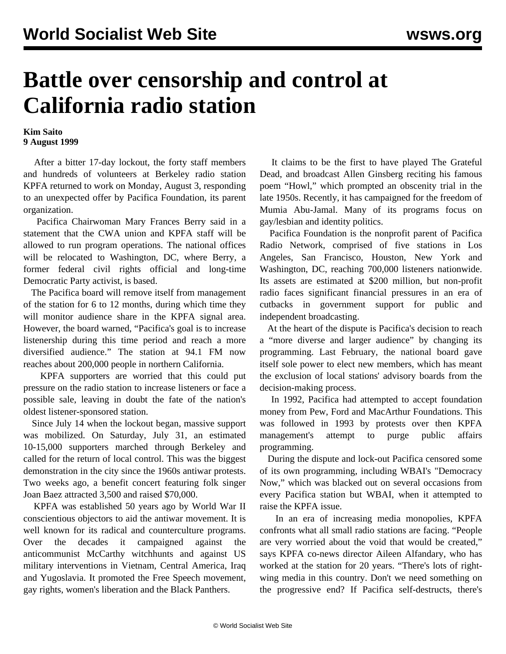## **Battle over censorship and control at California radio station**

## **Kim Saito 9 August 1999**

 After a bitter 17-day lockout, the forty staff members and hundreds of volunteers at Berkeley radio station KPFA returned to work on Monday, August 3, responding to an unexpected offer by Pacifica Foundation, its parent organization.

 Pacifica Chairwoman Mary Frances Berry said in a statement that the CWA union and KPFA staff will be allowed to run program operations. The national offices will be relocated to Washington, DC, where Berry, a former federal civil rights official and long-time Democratic Party activist, is based.

 The Pacifica board will remove itself from management of the station for 6 to 12 months, during which time they will monitor audience share in the KPFA signal area. However, the board warned, "Pacifica's goal is to increase listenership during this time period and reach a more diversified audience." The station at 94.1 FM now reaches about 200,000 people in northern California.

 KPFA supporters are worried that this could put pressure on the radio station to increase listeners or face a possible sale, leaving in doubt the fate of the nation's oldest listener-sponsored station.

 Since July 14 when the lockout began, massive support was mobilized. On Saturday, July 31, an estimated 10-15,000 supporters marched through Berkeley and called for the return of local control. This was the biggest demonstration in the city since the 1960s antiwar protests. Two weeks ago, a benefit concert featuring folk singer Joan Baez attracted 3,500 and raised \$70,000.

 KPFA was established 50 years ago by World War II conscientious objectors to aid the antiwar movement. It is well known for its radical and counterculture programs. Over the decades it campaigned against the anticommunist McCarthy witchhunts and against US military interventions in Vietnam, Central America, Iraq and Yugoslavia. It promoted the Free Speech movement, gay rights, women's liberation and the Black Panthers.

 It claims to be the first to have played The Grateful Dead, and broadcast Allen Ginsberg reciting his famous poem "Howl," which prompted an obscenity trial in the late 1950s. Recently, it has campaigned for the freedom of Mumia Abu-Jamal. Many of its programs focus on gay/lesbian and identity politics.

 Pacifica Foundation is the nonprofit parent of Pacifica Radio Network, comprised of five stations in Los Angeles, San Francisco, Houston, New York and Washington, DC, reaching 700,000 listeners nationwide. Its assets are estimated at \$200 million, but non-profit radio faces significant financial pressures in an era of cutbacks in government support for public and independent broadcasting.

 At the heart of the dispute is Pacifica's decision to reach a "more diverse and larger audience" by changing its programming. Last February, the national board gave itself sole power to elect new members, which has meant the exclusion of local stations' advisory boards from the decision-making process.

 In 1992, Pacifica had attempted to accept foundation money from Pew, Ford and MacArthur Foundations. This was followed in 1993 by protests over then KPFA management's attempt to purge public affairs programming.

 During the dispute and lock-out Pacifica censored some of its own programming, including WBAI's "Democracy Now," which was blacked out on several occasions from every Pacifica station but WBAI, when it attempted to raise the KPFA issue.

 In an era of increasing media monopolies, KPFA confronts what all small radio stations are facing. "People are very worried about the void that would be created," says KPFA co-news director Aileen Alfandary, who has worked at the station for 20 years. "There's lots of rightwing media in this country. Don't we need something on the progressive end? If Pacifica self-destructs, there's